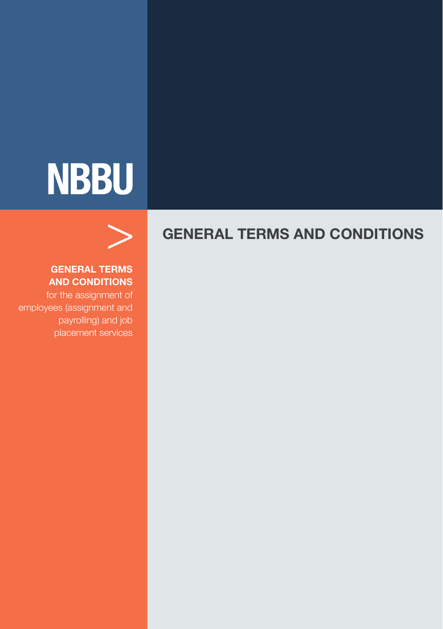## **NBBU**

# >

#### **GENERAL TERMS AND CONDITIONS**

for the assignment of employees (assignment and payrolling) and job

### **GENERAL TERMS AND CONDITIONS**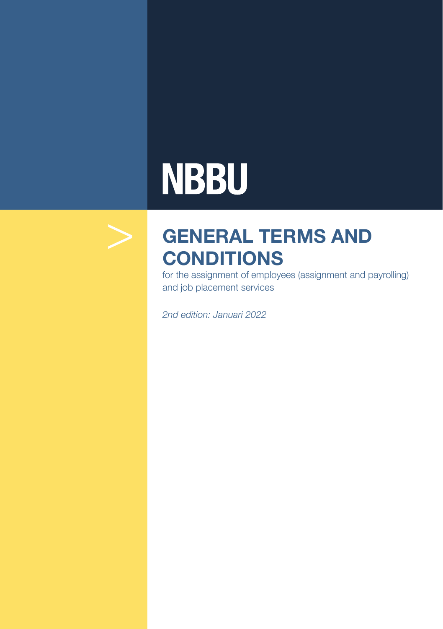## **NBBU**



## **GENERAL TERMS AND CONDITIONS**

for the assignment of employees (assignment and payrolling) and job placement services

*2nd edition: Januari 2022*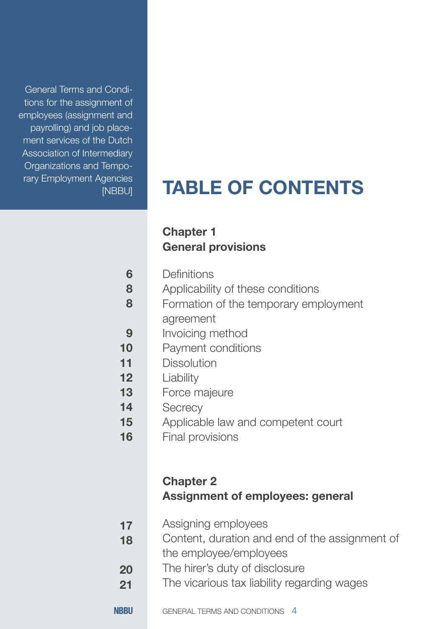General Terms and Conditions for the assignment of employees (assignment and payrolling) and job placement services of the Dutch Association of Intermediary Organizations and Temporary Employment Agencies

## **TABLE OF CONTENTS**

### **Chapter 1 General provisions**

- Applicability of these conditions **8**
- Formation of the temporary employment agreement **8**
- Invoicing method **9**
- Payment conditions **10**
- **Dissolution 11**
- Liability **12**
- Force majeure **13**
- **Secrecy 14**
- Applicable law and competent court **15**
- Final provisions **16**

#### **Chapter 2 Assignment of employees: general**

- Assigning employees **17**
- Content, duration and end of the assignment of the employee/employees **18**
- The hirer's duty of disclosure **20**
- The vicarious tax liability regarding wages **21**
- **NRRU** GENERAL TERMS AND CONDITIONS 4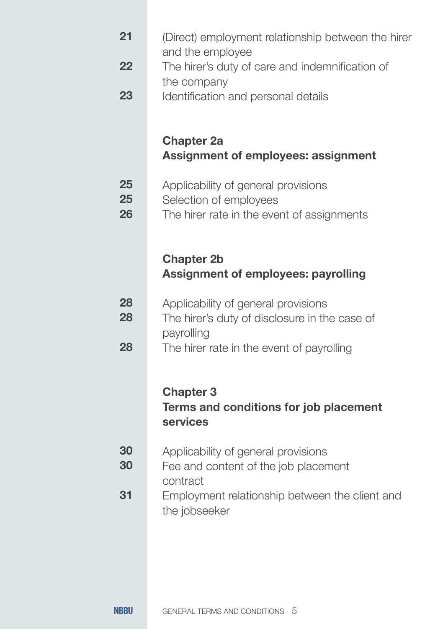| 21             | (Direct) employment relationship between the hirer<br>and the employee                                      |
|----------------|-------------------------------------------------------------------------------------------------------------|
| 22             | The hirer's duty of care and indemnification of<br>the company                                              |
| 23             | Identification and personal details                                                                         |
|                | <b>Chapter 2a</b><br><b>Assignment of employees: assignment</b>                                             |
| 25<br>25<br>26 | Applicability of general provisions<br>Selection of employees<br>The hirer rate in the event of assignments |
|                | <b>Chapter 2b</b><br><b>Assignment of employees: payrolling</b>                                             |
| 28<br>28       | Applicability of general provisions<br>The hirer's duty of disclosure in the case of<br>payrolling          |
| 28             | The hirer rate in the event of payrolling<br><b>Chapter 3</b>                                               |
|                | Terms and conditions for job placement<br>services                                                          |
| 30<br>30       | Applicability of general provisions<br>Fee and content of the job placement<br>contract                     |
| 31             | Employment relationship between the client and<br>the jobseeker                                             |
|                |                                                                                                             |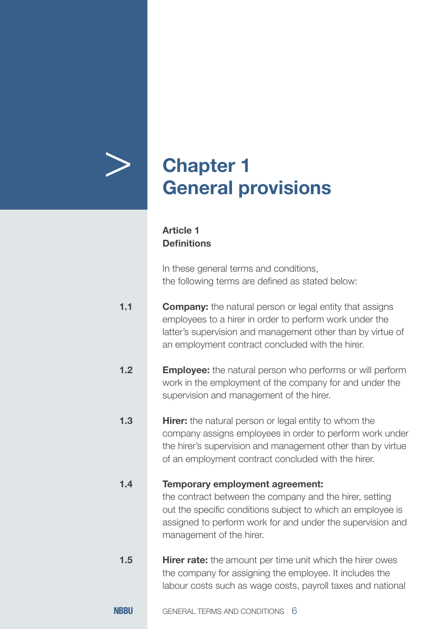## > **Chapter 1 General provisions**

#### **Article 1 Definitions**

In these general terms and conditions, the following terms are defined as stated below:

- **Company:** the natural person or legal entity that assigns employees to a hirer in order to perform work under the latter's supervision and management other than by virtue of an employment contract concluded with the hirer. **1.1**
- **Employee:** the natural person who performs or will perform work in the employment of the company for and under the supervision and management of the hirer. **1.2**
- **Hirer:** the natural person or legal entity to whom the company assigns employees in order to perform work under the hirer's supervision and management other than by virtue of an employment contract concluded with the hirer. **1.3**

#### **Temporary employment agreement: 1.4**

the contract between the company and the hirer, setting out the specific conditions subject to which an employee is assigned to perform work for and under the supervision and management of the hirer.

**Hirer rate:** the amount per time unit which the hirer owes the company for assigning the employee. It includes the labour costs such as wage costs, payroll taxes and national **1.5**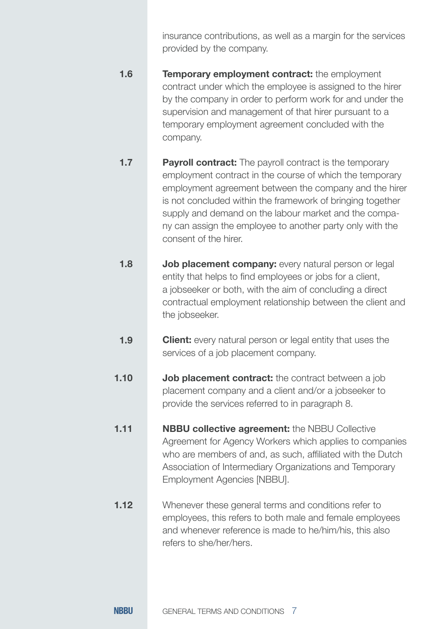insurance contributions, as well as a margin for the services provided by the company.

- **Temporary employment contract:** the employment contract under which the employee is assigned to the hirer by the company in order to perform work for and under the supervision and management of that hirer pursuant to a temporary employment agreement concluded with the company. **1.6**
- **Payroll contract:** The payroll contract is the temporary employment contract in the course of which the temporary employment agreement between the company and the hirer is not concluded within the framework of bringing together supply and demand on the labour market and the company can assign the employee to another party only with the consent of the hirer. **1.7**
- **Job placement company:** every natural person or legal entity that helps to find employees or jobs for a client, a jobseeker or both, with the aim of concluding a direct contractual employment relationship between the client and the jobseeker. **1.8**
- **Client:** every natural person or legal entity that uses the services of a job placement company. **1.9**
- **Job placement contract:** the contract between a job placement company and a client and/or a jobseeker to provide the services referred to in paragraph 8. **1.10**
- **NBBU collective agreement:** the NBBU Collective Agreement for Agency Workers which applies to companies who are members of and, as such, affiliated with the Dutch Association of Intermediary Organizations and Temporary Employment Agencies [NBBU]. **1.11**
- Whenever these general terms and conditions refer to employees, this refers to both male and female employees and whenever reference is made to he/him/his, this also refers to she/her/hers. **1.12**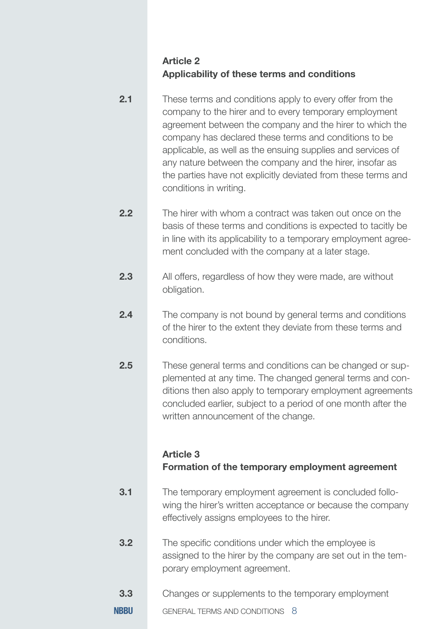#### **Article 2 Applicability of these terms and conditions**

- These terms and conditions apply to every offer from the company to the hirer and to every temporary employment agreement between the company and the hirer to which the company has declared these terms and conditions to be applicable, as well as the ensuing supplies and services of any nature between the company and the hirer, insofar as the parties have not explicitly deviated from these terms and conditions in writing. **2.1**
- The hirer with whom a contract was taken out once on the basis of these terms and conditions is expected to tacitly be in line with its applicability to a temporary employment agreement concluded with the company at a later stage. **2.2**
- All offers, regardless of how they were made, are without obligation. **2.3**
- The company is not bound by general terms and conditions of the hirer to the extent they deviate from these terms and conditions. **2.4**
- These general terms and conditions can be changed or supplemented at any time. The changed general terms and conditions then also apply to temporary employment agreements concluded earlier, subject to a period of one month after the written announcement of the change. **2.5**

#### **Article 3 Formation of the temporary employment agreement**

- The temporary employment agreement is concluded following the hirer's written acceptance or because the company effectively assigns employees to the hirer. **3.1**
- The specific conditions under which the employee is assigned to the hirer by the company are set out in the temporary employment agreement. **3.2**
- Changes or supplements to the temporary employment **3.3**
- **NBBII** GENERAL TERMS AND CONDITIONS 8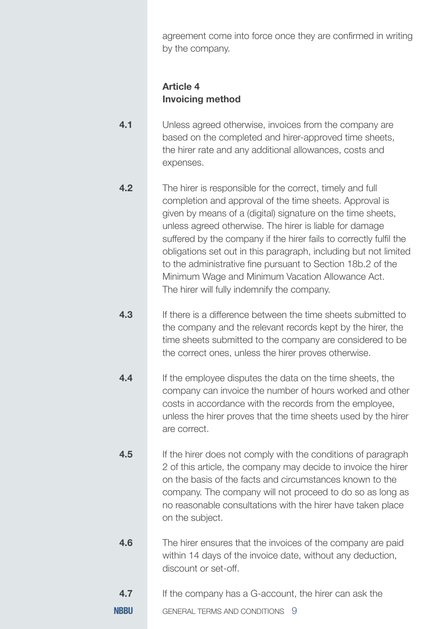agreement come into force once they are confirmed in writing by the company.

#### **Article 4 Invoicing method**

- Unless agreed otherwise, invoices from the company are based on the completed and hirer-approved time sheets, the hirer rate and any additional allowances, costs and expenses. **4.1**
- The hirer is responsible for the correct, timely and full completion and approval of the time sheets. Approval is given by means of a (digital) signature on the time sheets, unless agreed otherwise. The hirer is liable for damage suffered by the company if the hirer fails to correctly fulfil the obligations set out in this paragraph, including but not limited to the administrative fine pursuant to Section 18b.2 of the Minimum Wage and Minimum Vacation Allowance Act. The hirer will fully indemnify the company. **4.2**
- If there is a difference between the time sheets submitted to the company and the relevant records kept by the hirer, the time sheets submitted to the company are considered to be the correct ones, unless the hirer proves otherwise. **4.3**
- If the employee disputes the data on the time sheets, the company can invoice the number of hours worked and other costs in accordance with the records from the employee, unless the hirer proves that the time sheets used by the hirer are correct. **4.4**
- If the hirer does not comply with the conditions of paragraph 2 of this article, the company may decide to invoice the hirer on the basis of the facts and circumstances known to the company. The company will not proceed to do so as long as no reasonable consultations with the hirer have taken place on the subject. **4.5**
- The hirer ensures that the invoices of the company are paid within 14 days of the invoice date, without any deduction, discount or set-off. **4.6**
- If the company has a G-account, the hirer can ask the **4.7**
- **NBBII** GENERAL TERMS AND CONDITIONS 9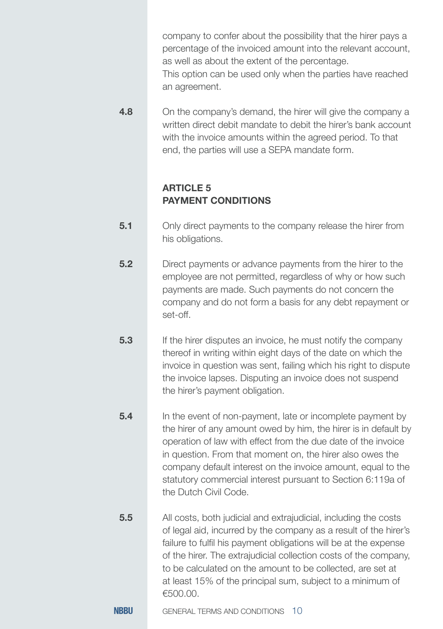company to confer about the possibility that the hirer pays a percentage of the invoiced amount into the relevant account, as well as about the extent of the percentage. This option can be used only when the parties have reached

On the company's demand, the hirer will give the company a written direct debit mandate to debit the hirer's bank account with the invoice amounts within the agreed period. To that end, the parties will use a SEPA mandate form. **4.8**

#### **ARTICLE 5 PAYMENT CONDITIONS**

an agreement.

- Only direct payments to the company release the hirer from his obligations. **5.1**
- Direct payments or advance payments from the hirer to the employee are not permitted, regardless of why or how such payments are made. Such payments do not concern the company and do not form a basis for any debt repayment or set-off. **5.2**
- If the hirer disputes an invoice, he must notify the company thereof in writing within eight days of the date on which the invoice in question was sent, failing which his right to dispute the invoice lapses. Disputing an invoice does not suspend the hirer's payment obligation. **5.3**
- In the event of non-payment, late or incomplete payment by the hirer of any amount owed by him, the hirer is in default by operation of law with effect from the due date of the invoice in question. From that moment on, the hirer also owes the company default interest on the invoice amount, equal to the statutory commercial interest pursuant to Section 6:119a of the Dutch Civil Code. **5.4**
- All costs, both judicial and extrajudicial, including the costs of legal aid, incurred by the company as a result of the hirer's failure to fulfil his payment obligations will be at the expense of the hirer. The extrajudicial collection costs of the company, to be calculated on the amount to be collected, are set at at least 15% of the principal sum, subject to a minimum of €500.00. **5.5**
- **NRRU** GENERAL TERMS AND CONDITIONS 10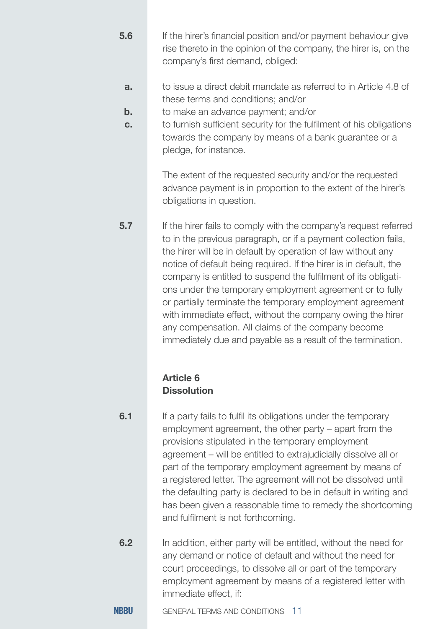- If the hirer's financial position and/or payment behaviour give rise thereto in the opinion of the company, the hirer is, on the company's first demand, obliged: **5.6**
- to issue a direct debit mandate as referred to in Article 4.8 of these terms and conditions; and/or **a.**
- to make an advance payment; and/or **b.**
- to furnish sufficient security for the fulfilment of his obligations towards the company by means of a bank guarantee or a pledge, for instance. **c.**

The extent of the requested security and/or the requested advance payment is in proportion to the extent of the hirer's obligations in question.

If the hirer fails to comply with the company's request referred to in the previous paragraph, or if a payment collection fails, the hirer will be in default by operation of law without any notice of default being required. If the hirer is in default, the company is entitled to suspend the fulfilment of its obligations under the temporary employment agreement or to fully or partially terminate the temporary employment agreement with immediate effect, without the company owing the hirer any compensation. All claims of the company become immediately due and payable as a result of the termination.

#### **Article 6 Dissolution**

If a party fails to fulfil its obligations under the temporary employment agreement, the other party – apart from the provisions stipulated in the temporary employment agreement – will be entitled to extrajudicially dissolve all or part of the temporary employment agreement by means of a registered letter. The agreement will not be dissolved until the defaulting party is declared to be in default in writing and has been given a reasonable time to remedy the shortcoming and fulfilment is not forthcoming. **6.1**

In addition, either party will be entitled, without the need for any demand or notice of default and without the need for court proceedings, to dissolve all or part of the temporary employment agreement by means of a registered letter with immediate effect, if: **6.2**

**NRRU** GENERAL TERMS AND CONDITIONS 11

**5.7**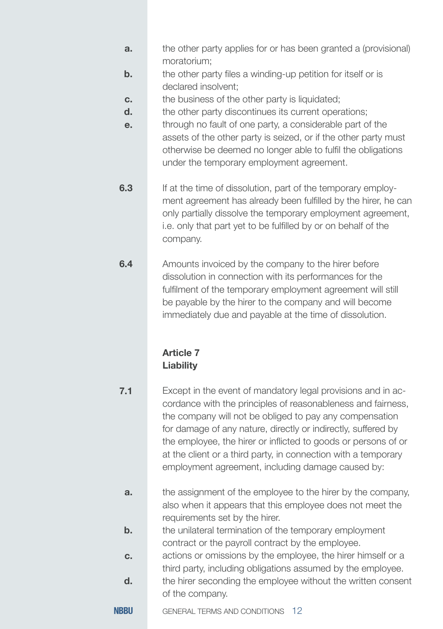- the other party applies for or has been granted a (provisional) moratorium; **a.**
- the other party files a winding-up petition for itself or is declared insolvent; **b.**
- the business of the other party is liquidated: **c.**
- the other party discontinues its current operations; **d.**
- through no fault of one party, a considerable part of the assets of the other party is seized, or if the other party must otherwise be deemed no longer able to fulfil the obligations under the temporary employment agreement. **e.**
- If at the time of dissolution, part of the temporary employment agreement has already been fulfilled by the hirer, he can only partially dissolve the temporary employment agreement, i.e. only that part yet to be fulfilled by or on behalf of the company. **6.3**
- Amounts invoiced by the company to the hirer before dissolution in connection with its performances for the fulfilment of the temporary employment agreement will still be payable by the hirer to the company and will become immediately due and payable at the time of dissolution. **6.4**

#### **Article 7 Liability**

- Except in the event of mandatory legal provisions and in accordance with the principles of reasonableness and fairness, the company will not be obliged to pay any compensation for damage of any nature, directly or indirectly, suffered by the employee, the hirer or inflicted to goods or persons of or at the client or a third party, in connection with a temporary employment agreement, including damage caused by: **7.1**
	- the assignment of the employee to the hirer by the company, also when it appears that this employee does not meet the requirements set by the hirer. **a.**
	- the unilateral termination of the temporary employment contract or the payroll contract by the employee. **b.**
	- actions or omissions by the employee, the hirer himself or a third party, including obligations assumed by the employee. **c.**
	- the hirer seconding the employee without the written consent of the company. **d.**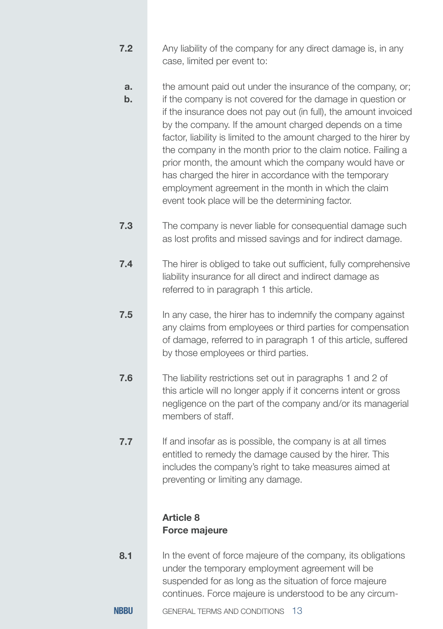- Any liability of the company for any direct damage is, in any case, limited per event to: **7.2**
	- the amount paid out under the insurance of the company, or; **a.**
	- if the company is not covered for the damage in question or if the insurance does not pay out (in full), the amount invoiced by the company. If the amount charged depends on a time factor, liability is limited to the amount charged to the hirer by the company in the month prior to the claim notice. Failing a prior month, the amount which the company would have or has charged the hirer in accordance with the temporary employment agreement in the month in which the claim event took place will be the determining factor. **b.**
- The company is never liable for consequential damage such as lost profits and missed savings and for indirect damage. **7.3**
- The hirer is obliged to take out sufficient, fully comprehensive liability insurance for all direct and indirect damage as referred to in paragraph 1 this article. **7.4**
- In any case, the hirer has to indemnify the company against any claims from employees or third parties for compensation of damage, referred to in paragraph 1 of this article, suffered by those employees or third parties. **7.5**
- The liability restrictions set out in paragraphs 1 and 2 of this article will no longer apply if it concerns intent or gross negligence on the part of the company and/or its managerial members of staff. **7.6**
- If and insofar as is possible, the company is at all times entitled to remedy the damage caused by the hirer. This includes the company's right to take measures aimed at preventing or limiting any damage. **7.7**

#### **Article 8 Force majeure**

- In the event of force majeure of the company, its obligations under the temporary employment agreement will be suspended for as long as the situation of force majeure continues. Force majeure is understood to be any circum-**8.1**
- **NRRU** GENERAL TERMS AND CONDITIONS 13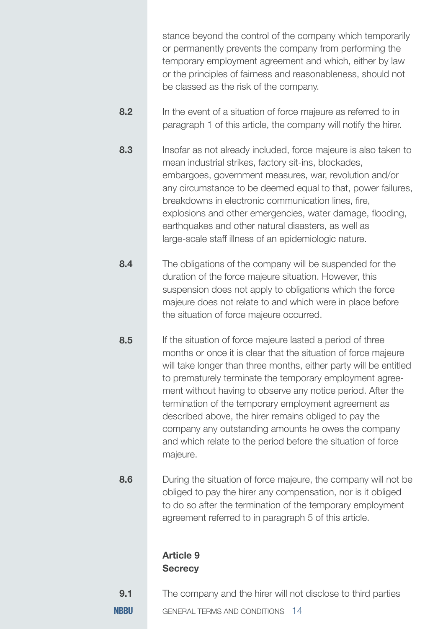stance beyond the control of the company which temporarily or permanently prevents the company from performing the temporary employment agreement and which, either by law or the principles of fairness and reasonableness, should not be classed as the risk of the company.

- In the event of a situation of force majeure as referred to in paragraph 1 of this article, the company will notify the hirer. **8.2**
- Insofar as not already included, force majeure is also taken to mean industrial strikes, factory sit-ins, blockades, embargoes, government measures, war, revolution and/or any circumstance to be deemed equal to that, power failures, breakdowns in electronic communication lines, fire, explosions and other emergencies, water damage, flooding, earthquakes and other natural disasters, as well as large-scale staff illness of an epidemiologic nature. **8.3**
- The obligations of the company will be suspended for the duration of the force majeure situation. However, this suspension does not apply to obligations which the force majeure does not relate to and which were in place before the situation of force majeure occurred. **8.4**
- If the situation of force majeure lasted a period of three months or once it is clear that the situation of force majeure will take longer than three months, either party will be entitled to prematurely terminate the temporary employment agreement without having to observe any notice period. After the termination of the temporary employment agreement as described above, the hirer remains obliged to pay the company any outstanding amounts he owes the company and which relate to the period before the situation of force majeure. **8.5**
- During the situation of force majeure, the company will not be obliged to pay the hirer any compensation, nor is it obliged to do so after the termination of the temporary employment agreement referred to in paragraph 5 of this article. **8.6**

#### **Article 9 Secrecy**

- The company and the hirer will not disclose to third parties **9.1**
- **NRRU** GENERAL TERMS AND CONDITIONS 14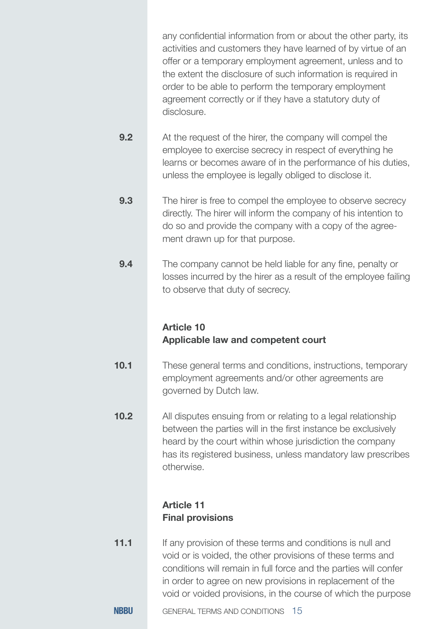any confidential information from or about the other party, its activities and customers they have learned of by virtue of an offer or a temporary employment agreement, unless and to the extent the disclosure of such information is required in order to be able to perform the temporary employment agreement correctly or if they have a statutory duty of disclosure.

- At the request of the hirer, the company will compel the employee to exercise secrecy in respect of everything he learns or becomes aware of in the performance of his duties, unless the employee is legally obliged to disclose it. **9.2**
- The hirer is free to compel the employee to observe secrecy directly. The hirer will inform the company of his intention to do so and provide the company with a copy of the agreement drawn up for that purpose. **9.3**
- The company cannot be held liable for any fine, penalty or losses incurred by the hirer as a result of the employee failing to observe that duty of secrecy. **9.4**

#### **Article 10 Applicable law and competent court**

- These general terms and conditions, instructions, temporary employment agreements and/or other agreements are governed by Dutch law. **10.1**
- All disputes ensuing from or relating to a legal relationship between the parties will in the first instance be exclusively heard by the court within whose jurisdiction the company has its registered business, unless mandatory law prescribes otherwise. **10.2**

#### **Article 11 Final provisions**

- If any provision of these terms and conditions is null and void or is voided, the other provisions of these terms and conditions will remain in full force and the parties will confer in order to agree on new provisions in replacement of the void or voided provisions, in the course of which the purpose **11.1**
- **NRRU** GENERAL TERMS AND CONDITIONS 15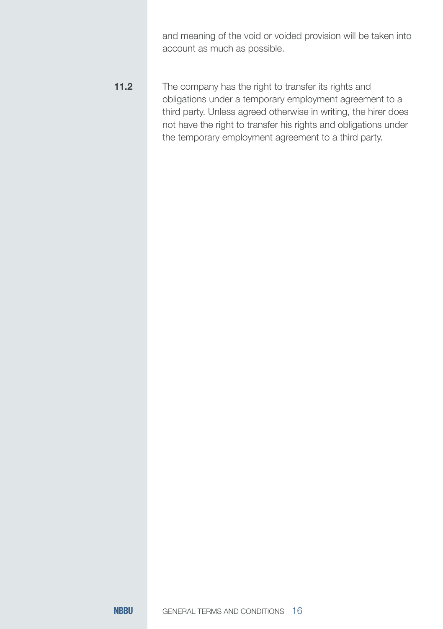and meaning of the void or voided provision will be taken into account as much as possible.

The company has the right to transfer its rights and obligations under a temporary employment agreement to a third party. Unless agreed otherwise in writing, the hirer does not have the right to transfer his rights and obligations under the temporary employment agreement to a third party. **11.2**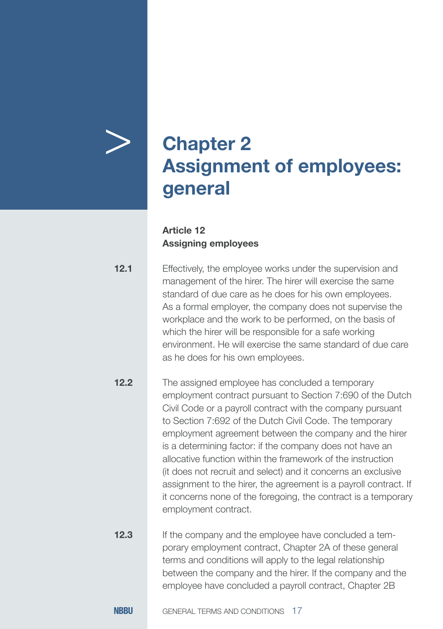

## > **Chapter 2 Assignment of employees: general**

#### **Article 12 Assigning employees**

Effectively, the employee works under the supervision and management of the hirer. The hirer will exercise the same standard of due care as he does for his own employees. As a formal employer, the company does not supervise the workplace and the work to be performed, on the basis of which the hirer will be responsible for a safe working environment. He will exercise the same standard of due care as he does for his own employees. **12.1**

The assigned employee has concluded a temporary employment contract pursuant to Section 7:690 of the Dutch Civil Code or a payroll contract with the company pursuant to Section 7:692 of the Dutch Civil Code. The temporary employment agreement between the company and the hirer is a determining factor: if the company does not have an allocative function within the framework of the instruction (it does not recruit and select) and it concerns an exclusive assignment to the hirer, the agreement is a payroll contract. If it concerns none of the foregoing, the contract is a temporary employment contract. **12.2**

If the company and the employee have concluded a temporary employment contract, Chapter 2A of these general terms and conditions will apply to the legal relationship between the company and the hirer. If the company and the employee have concluded a payroll contract, Chapter 2B **12.3**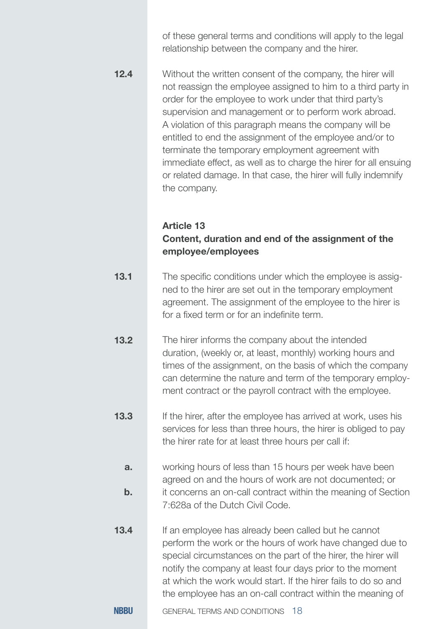of these general terms and conditions will apply to the legal relationship between the company and the hirer.

Without the written consent of the company, the hirer will not reassign the employee assigned to him to a third party in order for the employee to work under that third party's supervision and management or to perform work abroad. A violation of this paragraph means the company will be entitled to end the assignment of the employee and/or to terminate the temporary employment agreement with immediate effect, as well as to charge the hirer for all ensuing or related damage. In that case, the hirer will fully indemnify the company. **12.4**

#### **Article 13 Content, duration and end of the assignment of the employee/employees**

- The specific conditions under which the employee is assigned to the hirer are set out in the temporary employment agreement. The assignment of the employee to the hirer is for a fixed term or for an indefinite term. **13.1**
- The hirer informs the company about the intended duration, (weekly or, at least, monthly) working hours and times of the assignment, on the basis of which the company can determine the nature and term of the temporary employment contract or the payroll contract with the employee. **13.2**
- If the hirer, after the employee has arrived at work, uses his services for less than three hours, the hirer is obliged to pay the hirer rate for at least three hours per call if: **13.3**
	- working hours of less than 15 hours per week have been agreed on and the hours of work are not documented; or it concerns an on-call contract within the meaning of Section 7:628a of the Dutch Civil Code. **a. b.**
- If an employee has already been called but he cannot perform the work or the hours of work have changed due to special circumstances on the part of the hirer, the hirer will notify the company at least four days prior to the moment at which the work would start. If the hirer fails to do so and the employee has an on-call contract within the meaning of **13.4**
- **NRRU** GENERAL TERMS AND CONDITIONS 18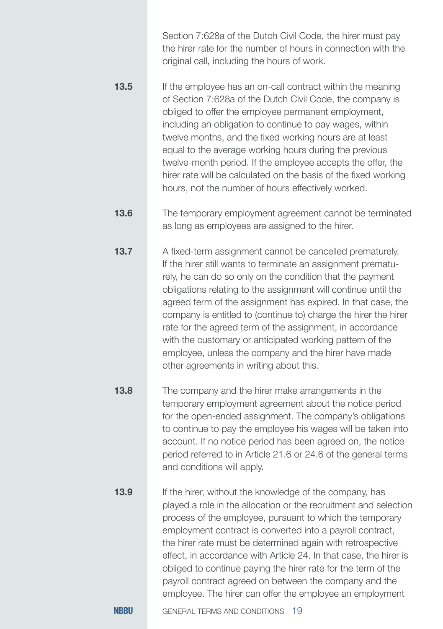Section 7:628a of the Dutch Civil Code, the hirer must pay the hirer rate for the number of hours in connection with the original call, including the hours of work.

- If the employee has an on-call contract within the meaning of Section 7:628a of the Dutch Civil Code, the company is obliged to offer the employee permanent employment, including an obligation to continue to pay wages, within twelve months, and the fixed working hours are at least equal to the average working hours during the previous twelve-month period. If the employee accepts the offer, the hirer rate will be calculated on the basis of the fixed working hours, not the number of hours effectively worked. **13.5**
- The temporary employment agreement cannot be terminated as long as employees are assigned to the hirer. **13.6**
- A fixed-term assignment cannot be cancelled prematurely. If the hirer still wants to terminate an assignment prematurely, he can do so only on the condition that the payment obligations relating to the assignment will continue until the agreed term of the assignment has expired. In that case, the company is entitled to (continue to) charge the hirer the hirer rate for the agreed term of the assignment, in accordance with the customary or anticipated working pattern of the employee, unless the company and the hirer have made other agreements in writing about this. **13.7**
- The company and the hirer make arrangements in the temporary employment agreement about the notice period for the open-ended assignment. The company's obligations to continue to pay the employee his wages will be taken into account. If no notice period has been agreed on, the notice period referred to in Article 21.6 or 24.6 of the general terms and conditions will apply. **13.8**
- If the hirer, without the knowledge of the company, has played a role in the allocation or the recruitment and selection process of the employee, pursuant to which the temporary employment contract is converted into a payroll contract, the hirer rate must be determined again with retrospective effect, in accordance with Article 24. In that case, the hirer is obliged to continue paying the hirer rate for the term of the payroll contract agreed on between the company and the employee. The hirer can offer the employee an employment **13.9**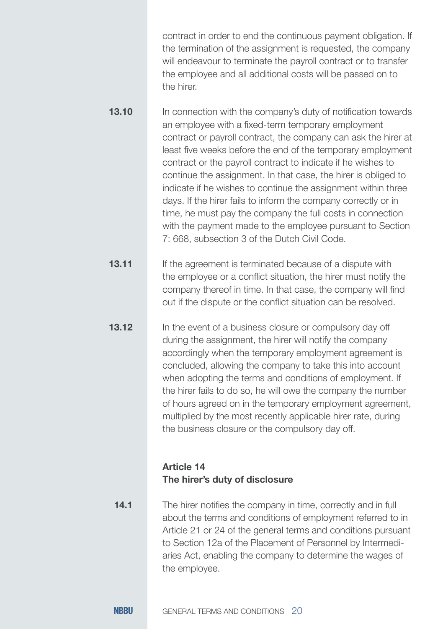contract in order to end the continuous payment obligation. If the termination of the assignment is requested, the company will endeavour to terminate the payroll contract or to transfer the employee and all additional costs will be passed on to the hirer.

In connection with the company's duty of notification towards an employee with a fixed-term temporary employment contract or payroll contract, the company can ask the hirer at least five weeks before the end of the temporary employment contract or the payroll contract to indicate if he wishes to continue the assignment. In that case, the hirer is obliged to indicate if he wishes to continue the assignment within three days. If the hirer fails to inform the company correctly or in time, he must pay the company the full costs in connection with the payment made to the employee pursuant to Section 7: 668, subsection 3 of the Dutch Civil Code. **13.10**

If the agreement is terminated because of a dispute with the employee or a conflict situation, the hirer must notify the company thereof in time. In that case, the company will find out if the dispute or the conflict situation can be resolved. **13.11**

**13.12**

In the event of a business closure or compulsory day off during the assignment, the hirer will notify the company accordingly when the temporary employment agreement is concluded, allowing the company to take this into account when adopting the terms and conditions of employment. If the hirer fails to do so, he will owe the company the number of hours agreed on in the temporary employment agreement, multiplied by the most recently applicable hirer rate, during the business closure or the compulsory day off.

#### **Article 14 The hirer's duty of disclosure**

The hirer notifies the company in time, correctly and in full about the terms and conditions of employment referred to in Article 21 or 24 of the general terms and conditions pursuant to Section 12a of the Placement of Personnel by Intermediaries Act, enabling the company to determine the wages of the employee. **14.1**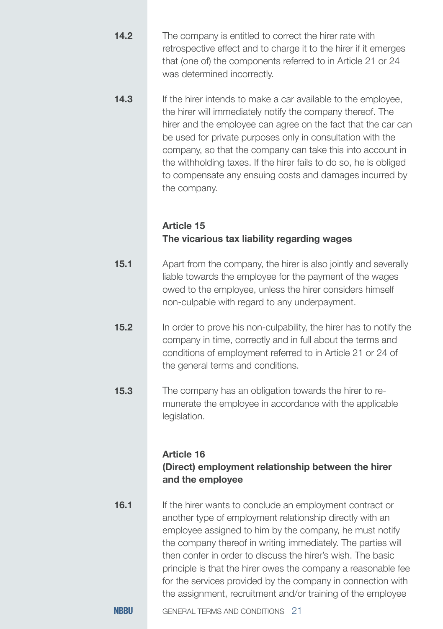- The company is entitled to correct the hirer rate with retrospective effect and to charge it to the hirer if it emerges that (one of) the components referred to in Article 21 or 24 was determined incorrectly. **14.2**
- If the hirer intends to make a car available to the employee, the hirer will immediately notify the company thereof. The hirer and the employee can agree on the fact that the car can be used for private purposes only in consultation with the company, so that the company can take this into account in the withholding taxes. If the hirer fails to do so, he is obliged to compensate any ensuing costs and damages incurred by the company. **14.3**

#### **Article 15 The vicarious tax liability regarding wages**

- Apart from the company, the hirer is also jointly and severally liable towards the employee for the payment of the wages owed to the employee, unless the hirer considers himself non-culpable with regard to any underpayment. **15.1**
- In order to prove his non-culpability, the hirer has to notify the company in time, correctly and in full about the terms and conditions of employment referred to in Article 21 or 24 of the general terms and conditions. **15.2**
- The company has an obligation towards the hirer to remunerate the employee in accordance with the applicable legislation. **15.3**

#### **Article 16**

#### **(Direct) employment relationship between the hirer and the employee**

If the hirer wants to conclude an employment contract or another type of employment relationship directly with an employee assigned to him by the company, he must notify the company thereof in writing immediately. The parties will then confer in order to discuss the hirer's wish. The basic principle is that the hirer owes the company a reasonable fee for the services provided by the company in connection with the assignment, recruitment and/or training of the employee **16.1**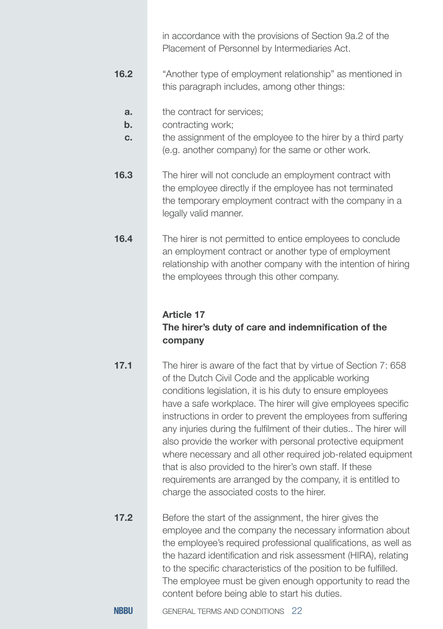in accordance with the provisions of Section 9a.2 of the Placement of Personnel by Intermediaries Act.

- "Another type of employment relationship" as mentioned in this paragraph includes, among other things: **16.2**
	- the contract for services; **a.**
	- contracting work; **b.**
	- the assignment of the employee to the hirer by a third party (e.g. another company) for the same or other work. **c.**
- The hirer will not conclude an employment contract with the employee directly if the employee has not terminated the temporary employment contract with the company in a legally valid manner. **16.3**

The hirer is not permitted to entice employees to conclude an employment contract or another type of employment relationship with another company with the intention of hiring the employees through this other company. **16.4**

#### **Article 17**

#### **The hirer's duty of care and indemnification of the company**

- The hirer is aware of the fact that by virtue of Section 7: 658 of the Dutch Civil Code and the applicable working conditions legislation, it is his duty to ensure employees have a safe workplace. The hirer will give employees specific instructions in order to prevent the employees from suffering any injuries during the fulfilment of their duties.. The hirer will also provide the worker with personal protective equipment where necessary and all other required job-related equipment that is also provided to the hirer's own staff. If these requirements are arranged by the company, it is entitled to charge the associated costs to the hirer. **17.1**
- Before the start of the assignment, the hirer gives the employee and the company the necessary information about the employee's required professional qualifications, as well as the hazard identification and risk assessment (HIRA), relating to the specific characteristics of the position to be fulfilled. The employee must be given enough opportunity to read the content before being able to start his duties. **17.2**
- **NRRU** GENERAL TERMS AND CONDITIONS 22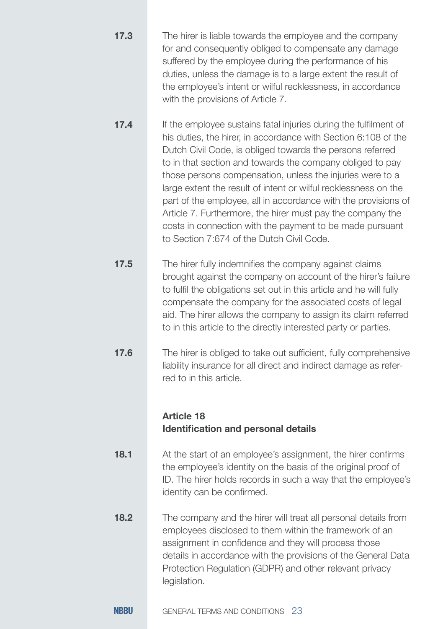| 17.3 | The hirer is liable towards the employee and the company<br>for and consequently obliged to compensate any damage<br>suffered by the employee during the performance of his<br>duties, unless the damage is to a large extent the result of<br>the employee's intent or wilful recklessness, in accordance<br>with the provisions of Article 7.                                                                                                                                                                                                                                                                                       |
|------|---------------------------------------------------------------------------------------------------------------------------------------------------------------------------------------------------------------------------------------------------------------------------------------------------------------------------------------------------------------------------------------------------------------------------------------------------------------------------------------------------------------------------------------------------------------------------------------------------------------------------------------|
| 17.4 | If the employee sustains fatal injuries during the fulfilment of<br>his duties, the hirer, in accordance with Section 6:108 of the<br>Dutch Civil Code, is obliged towards the persons referred<br>to in that section and towards the company obliged to pay<br>those persons compensation, unless the injuries were to a<br>large extent the result of intent or wilful recklessness on the<br>part of the employee, all in accordance with the provisions of<br>Article 7. Furthermore, the hirer must pay the company the<br>costs in connection with the payment to be made pursuant<br>to Section 7:674 of the Dutch Civil Code. |
| 17.5 | The hirer fully indemnifies the company against claims<br>brought against the company on account of the hirer's failure<br>to fulfil the obligations set out in this article and he will fully<br>compensate the company for the associated costs of legal<br>aid. The hirer allows the company to assign its claim referred<br>to in this article to the directly interested party or parties.                                                                                                                                                                                                                                       |
| 17.6 | The hirer is obliged to take out sufficient, fully comprehensive<br>liability insurance for all direct and indirect damage as refer-<br>red to in this article.<br><b>Article 18</b><br>Identification and personal details                                                                                                                                                                                                                                                                                                                                                                                                           |
| 18.1 | At the start of an employee's assignment, the hirer confirms<br>the employee's identity on the basis of the original proof of<br>ID. The hirer holds records in such a way that the employee's<br>identity can be confirmed.                                                                                                                                                                                                                                                                                                                                                                                                          |
| 18.2 | The company and the hirer will treat all personal details from<br>employees disclosed to them within the framework of an<br>assignment in confidence and they will process those<br>details in accordance with the provisions of the General Data<br>Protection Regulation (GDPR) and other relevant privacy<br>legislation.                                                                                                                                                                                                                                                                                                          |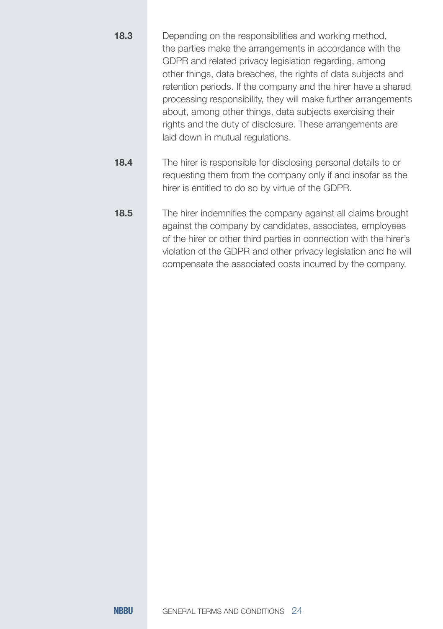| 18.3 | Depending on the responsibilities and working method,<br>the parties make the arrangements in accordance with the<br>GDPR and related privacy legislation regarding, among<br>other things, data breaches, the rights of data subjects and<br>retention periods. If the company and the hirer have a shared<br>processing responsibility, they will make further arrangements<br>about, among other things, data subjects exercising their<br>rights and the duty of disclosure. These arrangements are<br>laid down in mutual regulations. |
|------|---------------------------------------------------------------------------------------------------------------------------------------------------------------------------------------------------------------------------------------------------------------------------------------------------------------------------------------------------------------------------------------------------------------------------------------------------------------------------------------------------------------------------------------------|
| 18.4 | The hirer is responsible for disclosing personal details to or<br>requesting them from the company only if and insofar as the<br>hirer is entitled to do so by virtue of the GDPR.                                                                                                                                                                                                                                                                                                                                                          |

The hirer indemnifies the company against all claims brought against the company by candidates, associates, employees of the hirer or other third parties in connection with the hirer's violation of the GDPR and other privacy legislation and he will compensate the associated costs incurred by the company. **18.5**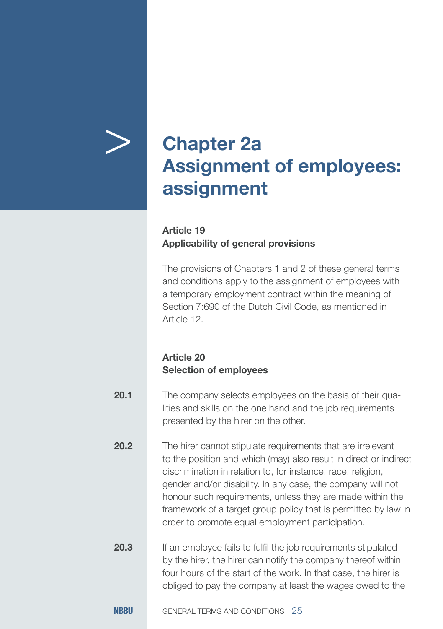

## > **Chapter 2a Assignment of employees: assignment**

#### **Article 19 Applicability of general provisions**

The provisions of Chapters 1 and 2 of these general terms and conditions apply to the assignment of employees with a temporary employment contract within the meaning of Section 7:690 of the Dutch Civil Code, as mentioned in Article 12.

#### **Article 20 Selection of employees**

| 20.1 | The company selects employees on the basis of their qua-   |
|------|------------------------------------------------------------|
|      | lities and skills on the one hand and the job requirements |
|      | presented by the hirer on the other.                       |

The hirer cannot stipulate requirements that are irrelevant to the position and which (may) also result in direct or indirect discrimination in relation to, for instance, race, religion, gender and/or disability. In any case, the company will not honour such requirements, unless they are made within the framework of a target group policy that is permitted by law in order to promote equal employment participation. **20.2**

If an employee fails to fulfil the job requirements stipulated by the hirer, the hirer can notify the company thereof within four hours of the start of the work. In that case, the hirer is obliged to pay the company at least the wages owed to the **20.3**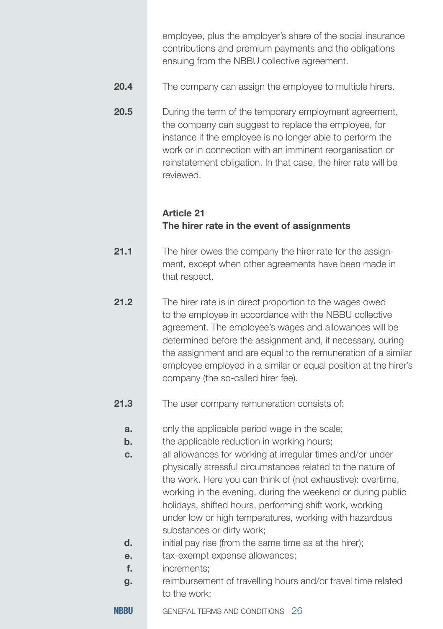employee, plus the employer's share of the social insurance contributions and premium payments and the obligations ensuing from the NBBU collective agreement.

- The company can assign the employee to multiple hirers. **20.4**
- During the term of the temporary employment agreement, the company can suggest to replace the employee, for instance if the employee is no longer able to perform the work or in connection with an imminent reorganisation or reinstatement obligation. In that case, the hirer rate will be reviewed. **20.5**

#### **Article 21 The hirer rate in the event of assignments**

- The hirer owes the company the hirer rate for the assignment, except when other agreements have been made in that respect. **21.1**
- The hirer rate is in direct proportion to the wages owed to the employee in accordance with the NBBU collective agreement. The employee's wages and allowances will be determined before the assignment and, if necessary, during the assignment and are equal to the remuneration of a similar employee employed in a similar or equal position at the hirer's company (the so-called hirer fee). **21.2**
- The user company remuneration consists of: **21.3**
	- only the applicable period wage in the scale; **a.**
	- the applicable reduction in working hours; **b.**
	- all allowances for working at irregular times and/or under physically stressful circumstances related to the nature of the work. Here you can think of (not exhaustive): overtime, working in the evening, during the weekend or during public holidays, shifted hours, performing shift work, working under low or high temperatures, working with hazardous substances or dirty work; **c.**
	- initial pay rise (from the same time as at the hirer); **d.**
	- tax-exempt expense allowances; **e.**
	- increments; **f.**
	- reimbursement of travelling hours and/or travel time related to the work; **g.**

**NRRU** GENERAL TERMS AND CONDITIONS 26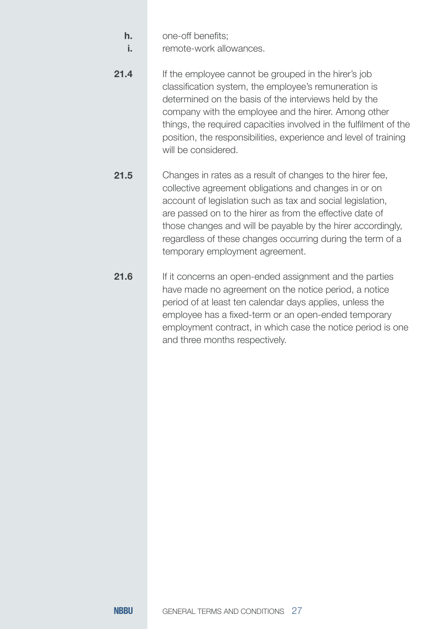- one-off benefits; **h.**
- remote-work allowances. **i.**
- If the employee cannot be grouped in the hirer's job classification system, the employee's remuneration is determined on the basis of the interviews held by the company with the employee and the hirer. Among other things, the required capacities involved in the fulfilment of the position, the responsibilities, experience and level of training will be considered. **21.4**
- Changes in rates as a result of changes to the hirer fee, collective agreement obligations and changes in or on account of legislation such as tax and social legislation, are passed on to the hirer as from the effective date of those changes and will be payable by the hirer accordingly, regardless of these changes occurring during the term of a temporary employment agreement. **21.5**
- If it concerns an open-ended assignment and the parties have made no agreement on the notice period, a notice period of at least ten calendar days applies, unless the employee has a fixed-term or an open-ended temporary employment contract, in which case the notice period is one and three months respectively. **21.6**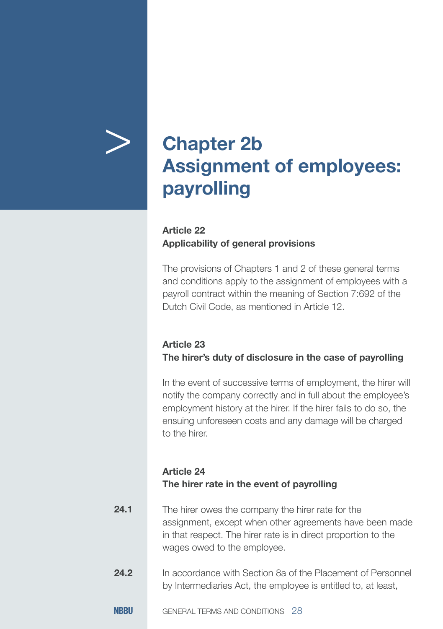

## > **Chapter 2b Assignment of employees: payrolling**

#### **Article 22 Applicability of general provisions**

The provisions of Chapters 1 and 2 of these general terms and conditions apply to the assignment of employees with a payroll contract within the meaning of Section 7:692 of the Dutch Civil Code, as mentioned in Article 12.

#### **Article 23 The hirer's duty of disclosure in the case of payrolling**

In the event of successive terms of employment, the hirer will notify the company correctly and in full about the employee's employment history at the hirer. If the hirer fails to do so, the ensuing unforeseen costs and any damage will be charged to the hirer.

#### **Article 24 The hirer rate in the event of payrolling**

- The hirer owes the company the hirer rate for the assignment, except when other agreements have been made in that respect. The hirer rate is in direct proportion to the wages owed to the employee. **24.1**
- In accordance with Section 8a of the Placement of Personnel by Intermediaries Act, the employee is entitled to, at least, **24.2**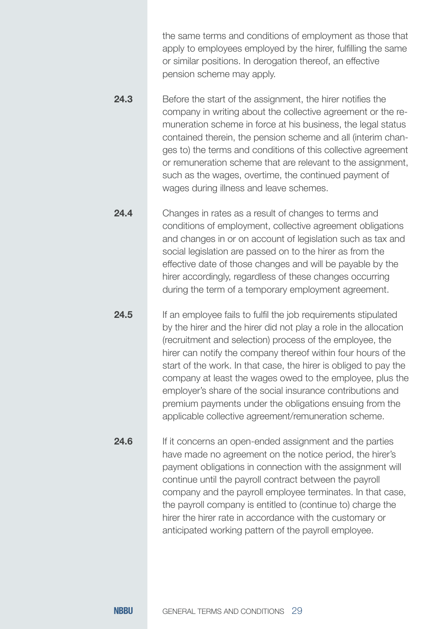the same terms and conditions of employment as those that apply to employees employed by the hirer, fulfilling the same or similar positions. In derogation thereof, an effective pension scheme may apply.

- Before the start of the assignment, the hirer notifies the company in writing about the collective agreement or the remuneration scheme in force at his business, the legal status contained therein, the pension scheme and all (interim changes to) the terms and conditions of this collective agreement or remuneration scheme that are relevant to the assignment, such as the wages, overtime, the continued payment of wages during illness and leave schemes. **24.3**
- Changes in rates as a result of changes to terms and conditions of employment, collective agreement obligations and changes in or on account of legislation such as tax and social legislation are passed on to the hirer as from the effective date of those changes and will be payable by the hirer accordingly, regardless of these changes occurring during the term of a temporary employment agreement. **24.4**
- If an employee fails to fulfil the job requirements stipulated by the hirer and the hirer did not play a role in the allocation (recruitment and selection) process of the employee, the hirer can notify the company thereof within four hours of the start of the work. In that case, the hirer is obliged to pay the company at least the wages owed to the employee, plus the employer's share of the social insurance contributions and premium payments under the obligations ensuing from the applicable collective agreement/remuneration scheme. **24.5**

If it concerns an open-ended assignment and the parties have made no agreement on the notice period, the hirer's payment obligations in connection with the assignment will continue until the payroll contract between the payroll company and the payroll employee terminates. In that case, the payroll company is entitled to (continue to) charge the hirer the hirer rate in accordance with the customary or anticipated working pattern of the payroll employee. **24.6**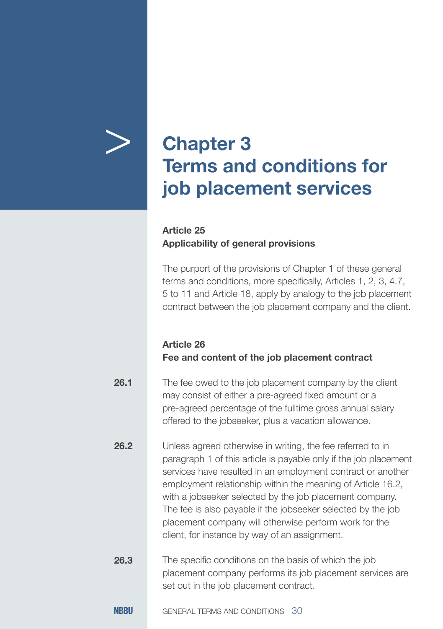

## > **Chapter 3 Terms and conditions for job placement services**

#### **Article 25 Applicability of general provisions**

The purport of the provisions of Chapter 1 of these general terms and conditions, more specifically, Articles 1, 2, 3, 4.7, 5 to 11 and Article 18, apply by analogy to the job placement contract between the job placement company and the client.

#### **Article 26 Fee and content of the job placement contract**

| 26.1 | The fee owed to the job placement company by the client<br>may consist of either a pre-agreed fixed amount or a<br>pre-agreed percentage of the fulltime gross annual salary<br>offered to the jobseeker, plus a vacation allowance.                                                                                                                                                                                                                                                              |
|------|---------------------------------------------------------------------------------------------------------------------------------------------------------------------------------------------------------------------------------------------------------------------------------------------------------------------------------------------------------------------------------------------------------------------------------------------------------------------------------------------------|
| 26.2 | Unless agreed otherwise in writing, the fee referred to in<br>paragraph 1 of this article is payable only if the job placement<br>services have resulted in an employment contract or another<br>employment relationship within the meaning of Article 16.2,<br>with a jobseeker selected by the job placement company.<br>The fee is also payable if the jobseeker selected by the job<br>placement company will otherwise perform work for the<br>client, for instance by way of an assignment. |
| 26.3 | The specific conditions on the basis of which the job<br>placement company performs its job placement services are<br>set out in the job placement contract.                                                                                                                                                                                                                                                                                                                                      |
| NBBU | GENERAL TERMS AND CONDITIONS<br>30                                                                                                                                                                                                                                                                                                                                                                                                                                                                |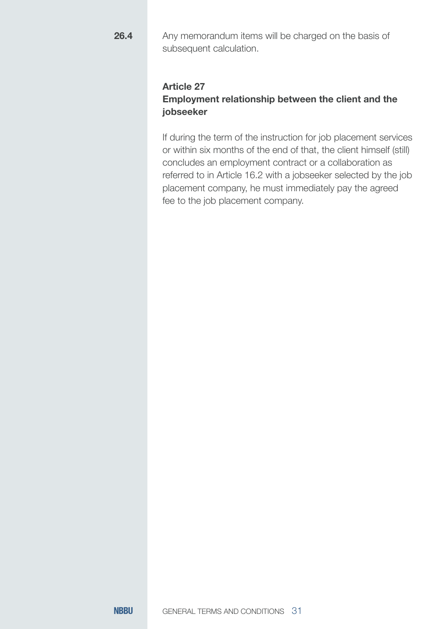**26.4**

Any memorandum items will be charged on the basis of subsequent calculation.

#### **Article 27**

#### **Employment relationship between the client and the jobseeker**

If during the term of the instruction for job placement services or within six months of the end of that, the client himself (still) concludes an employment contract or a collaboration as referred to in Article 16.2 with a jobseeker selected by the job placement company, he must immediately pay the agreed fee to the job placement company.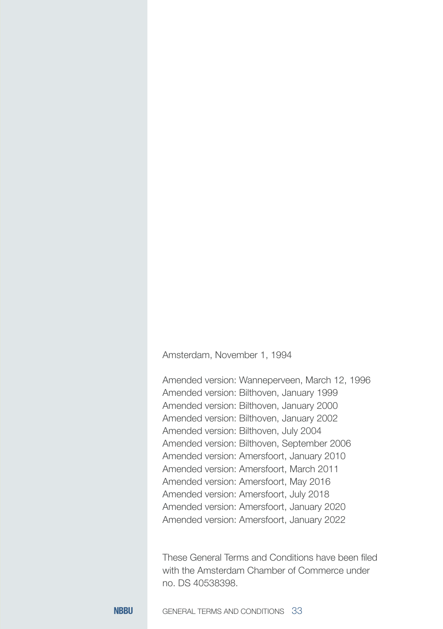Amsterdam, November 1, 1994

Amended version: Wanneperveen, March 12, 1996 Amended version: Bilthoven, January 1999 Amended version: Bilthoven, January 2000 Amended version: Bilthoven, January 2002 Amended version: Bilthoven, July 2004 Amended version: Bilthoven, September 2006 Amended version: Amersfoort, January 2010 Amended version: Amersfoort, March 2011 Amended version: Amersfoort, May 2016 Amended version: Amersfoort, July 2018 Amended version: Amersfoort, January 2020 Amended version: Amersfoort, January 2022

These General Terms and Conditions have been filed with the Amsterdam Chamber of Commerce under no. DS 40538398.